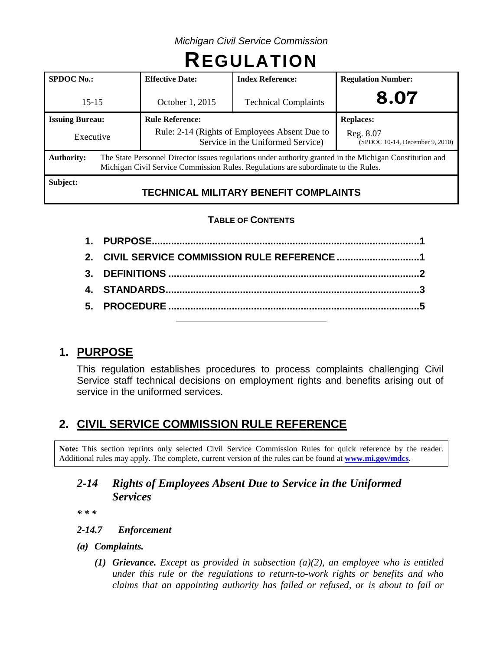*Michigan Civil Service Commission*

# **REGULATION**

| <b>SPDOC No.:</b>      |                                                                                                                                                                                                | <b>Effective Date:</b>                                                             | <b>Index Reference:</b>      | <b>Regulation Number:</b>                    |  |  |
|------------------------|------------------------------------------------------------------------------------------------------------------------------------------------------------------------------------------------|------------------------------------------------------------------------------------|------------------------------|----------------------------------------------|--|--|
| $15 - 15$              |                                                                                                                                                                                                | <b>Technical Complaints</b><br>October 1, 2015                                     |                              | 8.07                                         |  |  |
| <b>Issuing Bureau:</b> |                                                                                                                                                                                                | <b>Rule Reference:</b>                                                             |                              | <b>Replaces:</b>                             |  |  |
| Executive              |                                                                                                                                                                                                | Rule: 2-14 (Rights of Employees Absent Due to<br>Service in the Uniformed Service) |                              | Reg. 8.07<br>(SPDOC 10-14, December 9, 2010) |  |  |
| <b>Authority:</b>      | The State Personnel Director issues regulations under authority granted in the Michigan Constitution and<br>Michigan Civil Service Commission Rules. Regulations are subordinate to the Rules. |                                                                                    |                              |                                              |  |  |
| Subject:               |                                                                                                                                                                                                | TEAIINIA 11                                                                        | AULITADV BENEEIT AANIBLAINTA |                                              |  |  |

# **TECHNICAL MILITARY BENEFIT COMPLAINTS**

### **TABLE OF CONTENTS**

# **1. PURPOSE**

This regulation establishes procedures to process complaints challenging Civil Service staff technical decisions on employment rights and benefits arising out of service in the uniformed services.

# **2. CIVIL SERVICE COMMISSION RULE REFERENCE**

**Note:** This section reprints only selected Civil Service Commission Rules for quick reference by the reader. Additional rules may apply. The complete, current version of the rules can be found at **[www.mi.gov/mdcs](http://www.mi.gov/mdcs)**.

# *2-14 Rights of Employees Absent Due to Service in the Uniformed Services*

*\* \* \**

- *2-14.7 Enforcement*
- *(a) Complaints.*
	- *(1) Grievance. Except as provided in subsection (a)(2), an employee who is entitled under this rule or the regulations to return-to-work rights or benefits and who claims that an appointing authority has failed or refused, or is about to fail or*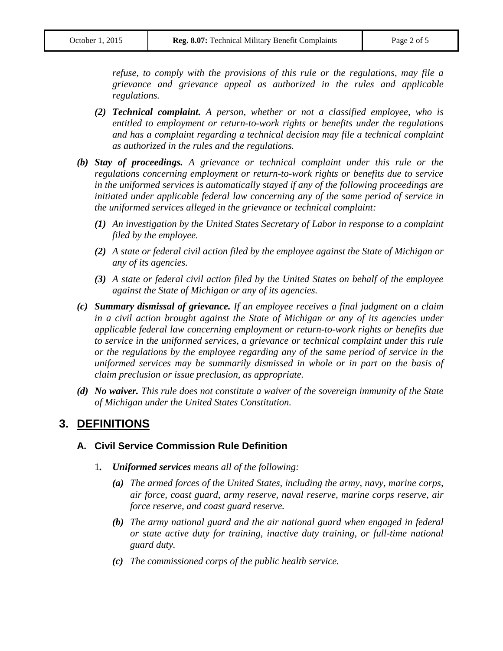*refuse, to comply with the provisions of this rule or the regulations, may file a grievance and grievance appeal as authorized in the rules and applicable regulations.*

- *(2) Technical complaint. A person, whether or not a classified employee, who is entitled to employment or return-to-work rights or benefits under the regulations*  and has a complaint regarding a technical decision may file a technical complaint *as authorized in the rules and the regulations.*
- *(b) Stay of proceedings. A grievance or technical complaint under this rule or the regulations concerning employment or return-to-work rights or benefits due to service in the uniformed services is automatically stayed if any of the following proceedings are initiated under applicable federal law concerning any of the same period of service in the uniformed services alleged in the grievance or technical complaint:*
	- *(1) An investigation by the United States Secretary of Labor in response to a complaint filed by the employee.*
	- *(2) A state or federal civil action filed by the employee against the State of Michigan or any of its agencies.*
	- *(3) A state or federal civil action filed by the United States on behalf of the employee against the State of Michigan or any of its agencies.*
- *(c) Summary dismissal of grievance. If an employee receives a final judgment on a claim in a civil action brought against the State of Michigan or any of its agencies under applicable federal law concerning employment or return-to-work rights or benefits due to service in the uniformed services, a grievance or technical complaint under this rule or the regulations by the employee regarding any of the same period of service in the uniformed services may be summarily dismissed in whole or in part on the basis of claim preclusion or issue preclusion, as appropriate.*
- *(d) No waiver. This rule does not constitute a waiver of the sovereign immunity of the State of Michigan under the United States Constitution.*

# **3. DEFINITIONS**

#### **A. Civil Service Commission Rule Definition**

- 1*. Uniformed services means all of the following:*
	- *(a) The armed forces of the United States, including the army, navy, marine corps, air force, coast guard, army reserve, naval reserve, marine corps reserve, air force reserve, and coast guard reserve.*
	- *(b) The army national guard and the air national guard when engaged in federal or state active duty for training, inactive duty training, or full-time national guard duty.*
	- *(c) The commissioned corps of the public health service.*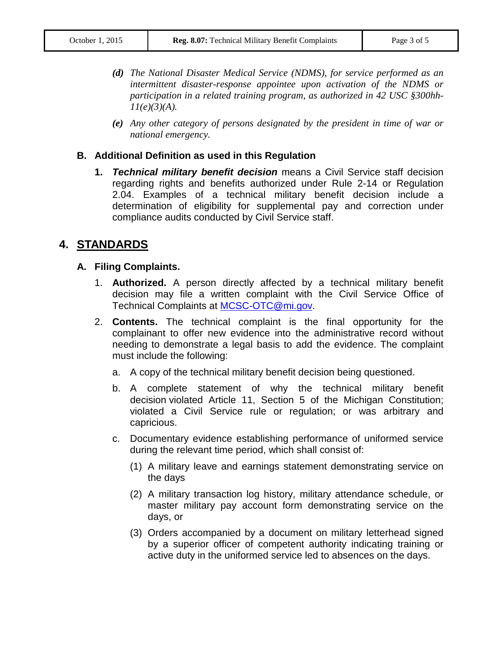- *(d) The National Disaster Medical Service (NDMS), for service performed as an intermittent disaster-response appointee upon activation of the NDMS or participation in a related training program, as authorized in 42 USC §300hh-11(e)(3)(A).*
- *(e) Any other category of persons designated by the president in time of war or national emergency.*

#### **B. Additional Definition as used in this Regulation**

**1.** *Technical military benefit decision* means a Civil Service staff decision regarding rights and benefits authorized under Rule 2-14 or Regulation 2.04. Examples of a technical military benefit decision include a determination of eligibility for supplemental pay and correction under compliance audits conducted by Civil Service staff.

# **4. STANDARDS**

#### **A. Filing Complaints.**

- 1. **Authorized.** A person directly affected by a technical military benefit decision may file a written complaint with the Civil Service Office of Technical Complaints at [MCSC-OTC@mi.gov.](mailto:MCSC-OTC@mi.gov)
- 2. **Contents.** The technical complaint is the final opportunity for the complainant to offer new evidence into the administrative record without needing to demonstrate a legal basis to add the evidence. The complaint must include the following:
	- a. A copy of the technical military benefit decision being questioned.
	- b. A complete statement of why the technical military benefit decision violated Article 11, Section 5 of the Michigan Constitution; violated a Civil Service rule or regulation; or was arbitrary and capricious.
	- c. Documentary evidence establishing performance of uniformed service during the relevant time period, which shall consist of:
		- (1) A military leave and earnings statement demonstrating service on the days
		- (2) A military transaction log history, military attendance schedule, or master military pay account form demonstrating service on the days, or
		- (3) Orders accompanied by a document on military letterhead signed by a superior officer of competent authority indicating training or active duty in the uniformed service led to absences on the days.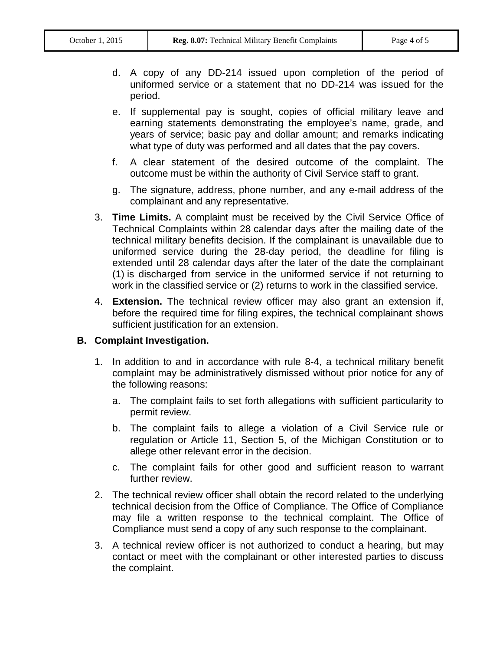- d. A copy of any DD-214 issued upon completion of the period of uniformed service or a statement that no DD-214 was issued for the period.
- e. If supplemental pay is sought, copies of official military leave and earning statements demonstrating the employee's name, grade, and years of service; basic pay and dollar amount; and remarks indicating what type of duty was performed and all dates that the pay covers.
- f. A clear statement of the desired outcome of the complaint. The outcome must be within the authority of Civil Service staff to grant.
- g. The signature, address, phone number, and any e-mail address of the complainant and any representative.
- 3. **Time Limits.** A complaint must be received by the Civil Service Office of Technical Complaints within 28 calendar days after the mailing date of the technical military benefits decision. If the complainant is unavailable due to uniformed service during the 28-day period, the deadline for filing is extended until 28 calendar days after the later of the date the complainant (1) is discharged from service in the uniformed service if not returning to work in the classified service or (2) returns to work in the classified service.
- 4. **Extension.** The technical review officer may also grant an extension if, before the required time for filing expires, the technical complainant shows sufficient justification for an extension.

#### **B. Complaint Investigation.**

- 1. In addition to and in accordance with rule 8-4, a technical military benefit complaint may be administratively dismissed without prior notice for any of the following reasons:
	- a. The complaint fails to set forth allegations with sufficient particularity to permit review.
	- b. The complaint fails to allege a violation of a Civil Service rule or regulation or Article 11, Section 5, of the Michigan Constitution or to allege other relevant error in the decision.
	- c. The complaint fails for other good and sufficient reason to warrant further review.
- 2. The technical review officer shall obtain the record related to the underlying technical decision from the Office of Compliance. The Office of Compliance may file a written response to the technical complaint. The Office of Compliance must send a copy of any such response to the complainant.
- 3. A technical review officer is not authorized to conduct a hearing, but may contact or meet with the complainant or other interested parties to discuss the complaint.